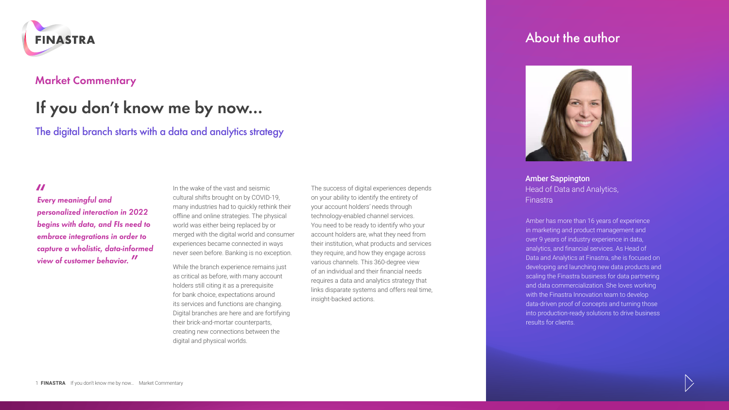

## **Market Commentary**

# **If you don't know me by now…**

The digital branch starts with a data and analytics strategy

**"** *Every meaningful and personalized interaction in 2022 begins with data, and FIs need to embrace integrations in order to capture a wholistic, data-informed view of customer behavior.* **"**

In the wake of the vast and seismic cultural shifts brought on by COVID-19, many industries had to quickly rethink their offline and online strategies. The physical world was either being replaced by or merged with the digital world and consumer experiences became connected in ways never seen before. Banking is no exception.

While the branch experience remains just as critical as before, with many account holders still citing it as a prerequisite for bank choice, expectations around its services and functions are changing. Digital branches are here and are fortifying their brick-and-mortar counterparts, creating new connections between the digital and physical worlds.

The success of digital experiences depends on your ability to identify the entirety of your account holders' needs through technology-enabled channel services. You need to be ready to identify who your account holders are, what they need from their institution, what products and services they require, and how they engage across various channels. This 360-degree view of an individual and their financial needs requires a data and analytics strategy that links disparate systems and offers real time, insight-backed actions.

## About the author



Amber Sappington Head of Data and Analytics, Finastra

Amber has more than 16 years of experience in marketing and product management and over 9 years of industry experience in data, analytics, and financial services. As Head of Data and Analytics at Finastra, she is focused on developing and launching new data products and scaling the Finastra business for data partnering and data commercialization. She loves working with the Finastra Innovation team to develop data-driven proof of concepts and turning those into production-ready solutions to drive business results for clients.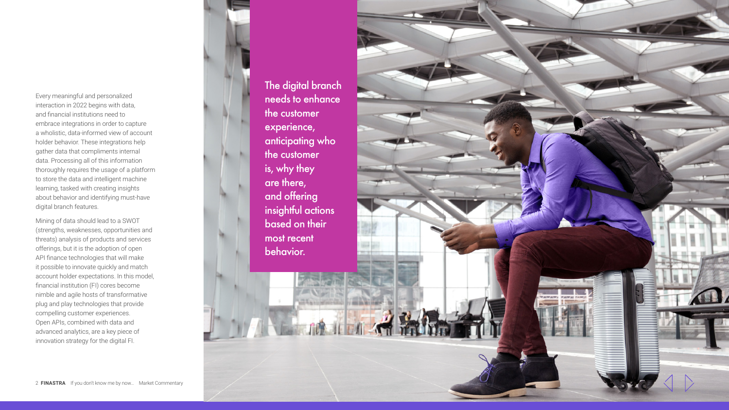Every meaningful and personalized interaction in 2022 begins with data, and financial institutions need to embrace integrations in order to capture a wholistic, data-informed view of account holder behavior. These integrations help gather data that compliments internal data. Processing all of this information thoroughly requires the usage of a platform to store the data and intelligent machine learning, tasked with creating insights about behavior and identifying must-have digital branch features.

Mining of data should lead to a SWOT (strengths, weaknesses, opportunities and threats) analysis of products and services offerings, but it is the adoption of open API finance technologies that will make it possible to innovate quickly and match account holder expectations. In this model, financial institution (FI) cores become nimble and agile hosts of transformative plug and play technologies that provide compelling customer experiences. Open APIs, combined with data and advanced analytics, are a key piece of innovation strategy for the digital FI.

The digital branch needs to enhance the customer experience, anticipating who the customer is, why they are there, and offering insightful actions based on th[e](http://www.finastra.com/)ir most recent behavior.